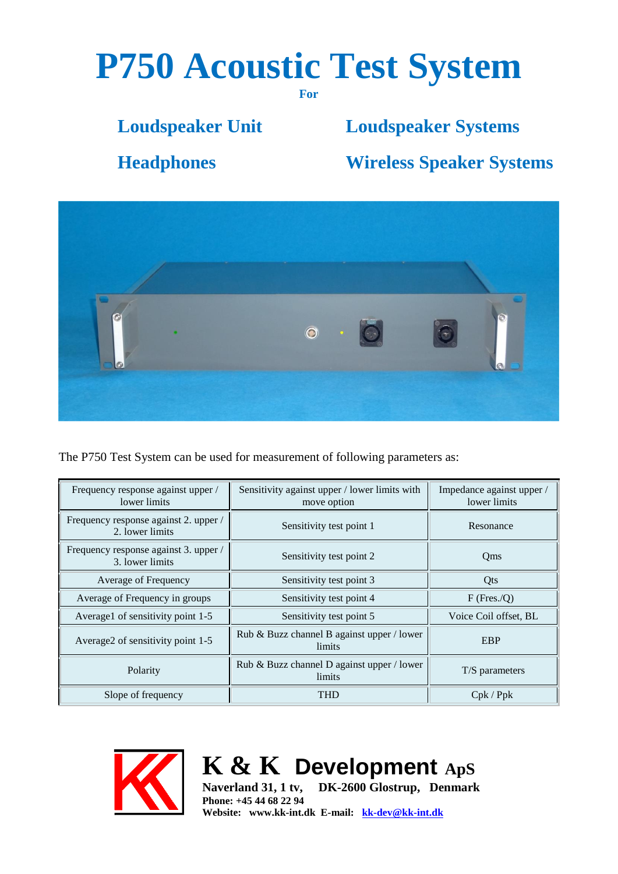# **P750 Acoustic Test System**

**For**

# **Loudspeaker Unit Loudspeaker Systems**

**Headphones Wireless Speaker Systems**



The P750 Test System can be used for measurement of following parameters as:

| Frequency response against upper /<br>lower limits       | Sensitivity against upper / lower limits with<br>move option | Impedance against upper /<br>lower limits |
|----------------------------------------------------------|--------------------------------------------------------------|-------------------------------------------|
| Frequency response against 2. upper /<br>2. lower limits | Sensitivity test point 1                                     | Resonance                                 |
| Frequency response against 3. upper /<br>3. lower limits | Sensitivity test point 2                                     | Qms                                       |
| Average of Frequency                                     | Sensitivity test point 3                                     | Qts                                       |
| Average of Frequency in groups                           | Sensitivity test point 4                                     | $F$ (Fres./O)                             |
| Average1 of sensitivity point 1-5                        | Sensitivity test point 5                                     | Voice Coil offset, BL                     |
| Average2 of sensitivity point 1-5                        | Rub & Buzz channel B against upper / lower<br>limits         | <b>EBP</b>                                |
| Polarity                                                 | Rub & Buzz channel D against upper / lower<br>limits         | T/S parameters                            |
| Slope of frequency                                       | THD                                                          | Cpk / Ppk                                 |



**K & K Development ApS**

**Naverland 31, 1 tv, DK-2600 Glostrup, Denmark Phone: +45 44 68 22 94 Website: www.kk-int.dk E-mail: [kk-dev@kk-int.dk](mailto:kk-dev@kk-int.dk)**